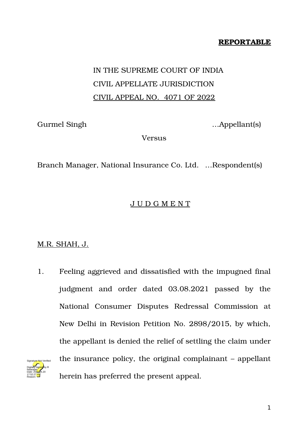## **REPORTABLE**

## IN THE SUPREME COURT OF INDIA CIVIL APPELLATE JURISDICTION CIVIL APPEAL NO. 4071 OF 2022

Gurmel Singh …Appellant(s)

Versus

Branch Manager, National Insurance Co. Ltd. …Respondent(s)

## J U D G M E N T

## M.R. SHAH, J.

1. Feeling aggrieved and dissatisfied with the impugned final judgment and order dated 03.08.2021 passed by the National Consumer Disputes Redressal Commission at New Delhi in Revision Petition No. 2898/2015, by which, the appellant is denied the relief of settling the claim under the insurance policy, the original complainant – appellant herein has preferred the present appeal. Digitally signed by R Natarajan Date: 2022.05.20 17:52:27 IST Reason: Signature Not Verified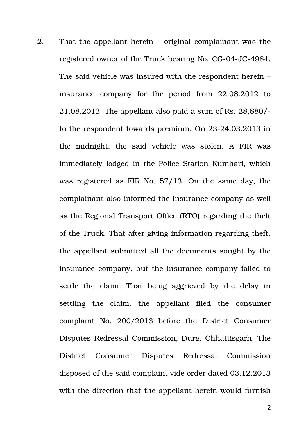2. That the appellant herein – original complainant was the registered owner of the Truck bearing No. CG-04-JC-4984. The said vehicle was insured with the respondent herein – insurance company for the period from 22.08.2012 to 21.08.2013. The appellant also paid a sum of Rs. 28,880/ to the respondent towards premium. On 23-24.03.2013 in the midnight, the said vehicle was stolen. A FIR was immediately lodged in the Police Station Kumhari, which was registered as FIR No. 57/13. On the same day, the complainant also informed the insurance company as well as the Regional Transport Office (RTO) regarding the theft of the Truck. That after giving information regarding theft, the appellant submitted all the documents sought by the insurance company, but the insurance company failed to settle the claim. That being aggrieved by the delay in settling the claim, the appellant filed the consumer complaint No. 200/2013 before the District Consumer Disputes Redressal Commission, Durg, Chhattisgarh. The District Consumer Disputes Redressal Commission disposed of the said complaint vide order dated 03.12.2013 with the direction that the appellant herein would furnish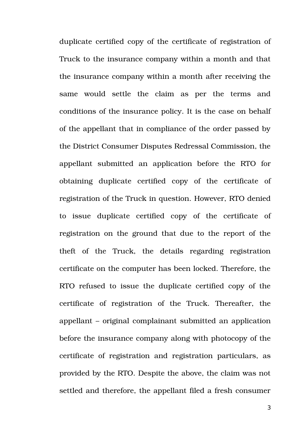duplicate certified copy of the certificate of registration of Truck to the insurance company within a month and that the insurance company within a month after receiving the same would settle the claim as per the terms and conditions of the insurance policy. It is the case on behalf of the appellant that in compliance of the order passed by the District Consumer Disputes Redressal Commission, the appellant submitted an application before the RTO for obtaining duplicate certified copy of the certificate of registration of the Truck in question. However, RTO denied to issue duplicate certified copy of the certificate of registration on the ground that due to the report of the theft of the Truck, the details regarding registration certificate on the computer has been locked. Therefore, the RTO refused to issue the duplicate certified copy of the certificate of registration of the Truck. Thereafter, the appellant – original complainant submitted an application before the insurance company along with photocopy of the certificate of registration and registration particulars, as provided by the RTO. Despite the above, the claim was not settled and therefore, the appellant filed a fresh consumer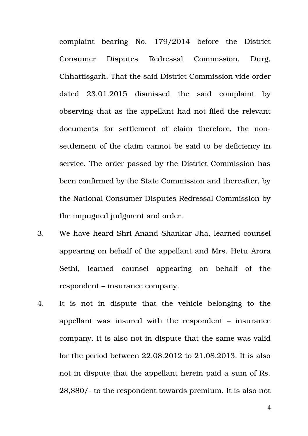complaint bearing No. 179/2014 before the District Consumer Disputes Redressal Commission, Durg, Chhattisgarh. That the said District Commission vide order dated 23.01.2015 dismissed the said complaint by observing that as the appellant had not filed the relevant documents for settlement of claim therefore, the nonsettlement of the claim cannot be said to be deficiency in service. The order passed by the District Commission has been confirmed by the State Commission and thereafter, by the National Consumer Disputes Redressal Commission by the impugned judgment and order.

- 3. We have heard Shri Anand Shankar Jha, learned counsel appearing on behalf of the appellant and Mrs. Hetu Arora Sethi, learned counsel appearing on behalf of the respondent – insurance company.
- 4. It is not in dispute that the vehicle belonging to the appellant was insured with the respondent – insurance company. It is also not in dispute that the same was valid for the period between 22.08.2012 to 21.08.2013. It is also not in dispute that the appellant herein paid a sum of Rs. 28,880/- to the respondent towards premium. It is also not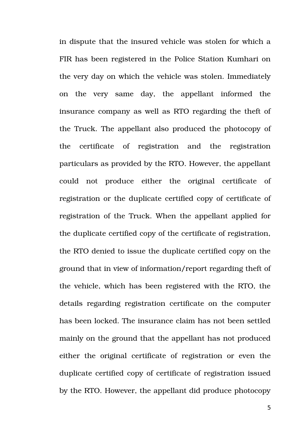in dispute that the insured vehicle was stolen for which a FIR has been registered in the Police Station Kumhari on the very day on which the vehicle was stolen. Immediately on the very same day, the appellant informed the insurance company as well as RTO regarding the theft of the Truck. The appellant also produced the photocopy of the certificate of registration and the registration particulars as provided by the RTO. However, the appellant could not produce either the original certificate of registration or the duplicate certified copy of certificate of registration of the Truck. When the appellant applied for the duplicate certified copy of the certificate of registration, the RTO denied to issue the duplicate certified copy on the ground that in view of information/report regarding theft of the vehicle, which has been registered with the RTO, the details regarding registration certificate on the computer has been locked. The insurance claim has not been settled mainly on the ground that the appellant has not produced either the original certificate of registration or even the duplicate certified copy of certificate of registration issued by the RTO. However, the appellant did produce photocopy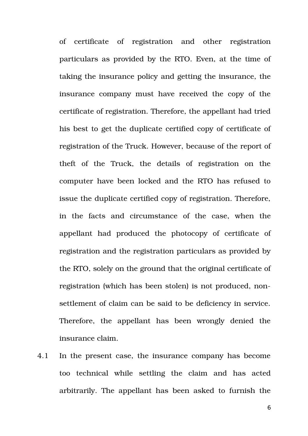of certificate of registration and other registration particulars as provided by the RTO. Even, at the time of taking the insurance policy and getting the insurance, the insurance company must have received the copy of the certificate of registration. Therefore, the appellant had tried his best to get the duplicate certified copy of certificate of registration of the Truck. However, because of the report of theft of the Truck, the details of registration on the computer have been locked and the RTO has refused to issue the duplicate certified copy of registration. Therefore, in the facts and circumstance of the case, when the appellant had produced the photocopy of certificate of registration and the registration particulars as provided by the RTO, solely on the ground that the original certificate of registration (which has been stolen) is not produced, nonsettlement of claim can be said to be deficiency in service. Therefore, the appellant has been wrongly denied the insurance claim.

4.1 In the present case, the insurance company has become too technical while settling the claim and has acted arbitrarily. The appellant has been asked to furnish the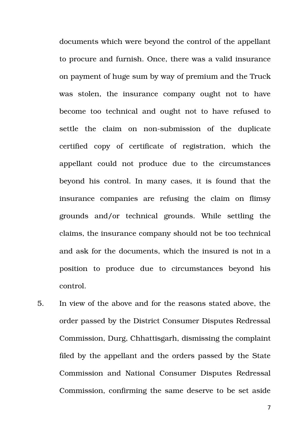documents which were beyond the control of the appellant to procure and furnish. Once, there was a valid insurance on payment of huge sum by way of premium and the Truck was stolen, the insurance company ought not to have become too technical and ought not to have refused to settle the claim on non-submission of the duplicate certified copy of certificate of registration, which the appellant could not produce due to the circumstances beyond his control. In many cases, it is found that the insurance companies are refusing the claim on flimsy grounds and/or technical grounds. While settling the claims, the insurance company should not be too technical and ask for the documents, which the insured is not in a position to produce due to circumstances beyond his control.

5. In view of the above and for the reasons stated above, the order passed by the District Consumer Disputes Redressal Commission, Durg, Chhattisgarh, dismissing the complaint filed by the appellant and the orders passed by the State Commission and National Consumer Disputes Redressal Commission, confirming the same deserve to be set aside